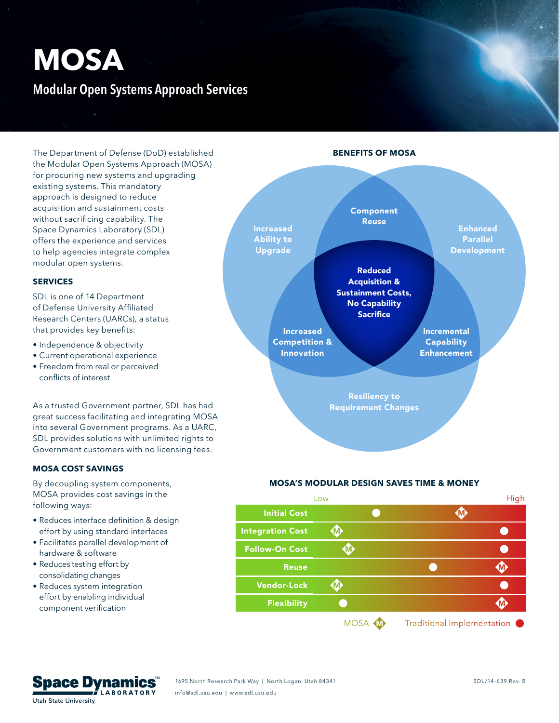# **MOSA Modular Open Systems Approach Services**

The Department of Defense (DoD) established the Modular Open Systems Approach (MOSA) for procuring new systems and upgrading existing systems. This mandatory approach is designed to reduce acquisition and sustainment costs without sacrificing capability. The Space Dynamics Laboratory (SDL) offers the experience and services to help agencies integrate complex modular open systems.

## **SERVICES**

SDL is one of 14 Department of Defense University Affiliated Research Centers (UARCs), a status that provides key benefits:

- Independence & objectivity
- Current operational experience
- Freedom from real or perceived conflicts of interest

As a trusted Government partner, SDL has had great success facilitating and integrating MOSA into several Government programs. As a UARC, SDL provides solutions with unlimited rights to Government customers with no licensing fees.

## **MOSA COST SAVINGS**

By decoupling system components, MOSA provides cost savings in the following ways:

- Reduces interface definition & design effort by using standard interfaces
- Facilitates parallel development of hardware & software
- Reduces testing effort by consolidating changes
- Reduces system integration effort by enabling individual component verification



**BENEFITS OF MOSA**

Resiliency to Requirement Changes

#### **MOSA'S MODULAR DESIGN SAVES TIME & MONEY**



MOSA **M** Traditional Implementation